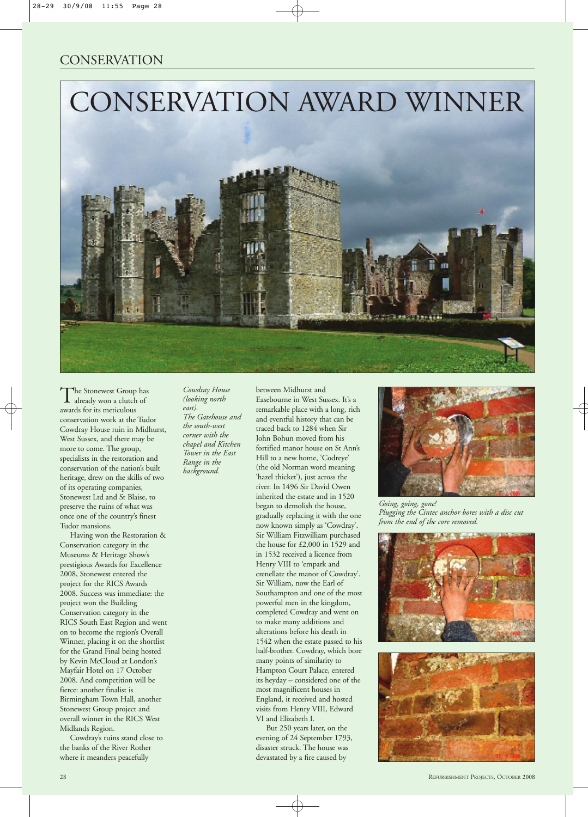## **CONSERVATION**



The Stonewest Group has already won a clutch of awards for its meticulous conservation work at the Tudor Cowdray House ruin in Midhurst, West Sussex, and there may be more to come. The group, specialists in the restoration and conservation of the nation's built heritage, drew on the skills of two of its operating companies, Stonewest Ltd and St Blaise, to preserve the ruins of what was once one of the country's finest Tudor mansions.

Having won the Restoration & Conservation category in the Museums & Heritage Show's prestigious Awards for Excellence 2008, Stonewest entered the project for the RICS Awards 2008. Success was immediate: the project won the Building Conservation category in the RICS South East Region and went on to become the region's Overall Winner, placing it on the shortlist for the Grand Final being hosted by Kevin McCloud at London's Mayfair Hotel on 17 October 2008. And competition will be fierce: another finalist is Birmingham Town Hall, another Stonewest Group project and overall winner in the RICS West Midlands Region.

Cowdray's ruins stand close to the banks of the River Rother where it meanders peacefully

*Cowdray House (looking north east). The Gatehouse and the south-west corner with the chapel and Kitchen Tower in the East Range in the background.*

between Midhurst and Easebourne in West Sussex. It's a remarkable place with a long, rich and eventful history that can be traced back to 1284 when Sir John Bohun moved from his fortified manor house on St Ann's Hill to a new home, 'Codreye' (the old Norman word meaning 'hazel thicket'), just across the river. In 1496 Sir David Owen inherited the estate and in 1520 began to demolish the house, gradually replacing it with the one now known simply as 'Cowdray'. Sir William Fitzwilliam purchased the house for £2,000 in 1529 and in 1532 received a licence from Henry VIII to 'empark and crenellate the manor of Cowdray'. Sir William, now the Earl of Southampton and one of the most powerful men in the kingdom, completed Cowdray and went on to make many additions and alterations before his death in 1542 when the estate passed to his half-brother. Cowdray, which bore many points of similarity to Hampton Court Palace, entered its heyday – considered one of the most magnificent houses in England, it received and hosted visits from Henry VIII, Edward VI and Elizabeth I.

But 250 years later, on the evening of 24 September 1793, disaster struck. The house was devastated by a fire caused by



*Going, going, gone! Plugging the Cintec anchor bores with a disc cut from the end of the core removed.*